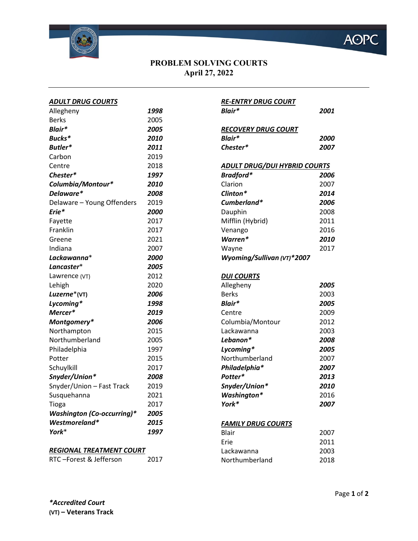

## **PROBLEM SOLVING COURTS April 27, 2022**

| <b>ADULT DRUG COURTS</b>          |      |
|-----------------------------------|------|
| Allegheny                         | 1998 |
| <b>Berks</b>                      | 2005 |
| Blair*                            | 2005 |
| Bucks*                            | 2010 |
| Butler*                           | 2011 |
| Carbon                            | 2019 |
| Centre                            | 2018 |
| Chester*                          | 1997 |
| Columbia/Montour*                 | 2010 |
| Delaware*                         | 2008 |
| Delaware - Young Offenders        | 2019 |
| Erie*                             | 2000 |
| Fayette                           | 2017 |
| Franklin                          | 2017 |
| Greene                            | 2021 |
| Indiana                           | 2007 |
| Lackawanna*                       | 2000 |
| Lancaster*                        | 2005 |
| Lawrence (VT)                     | 2012 |
| Lehigh                            | 2020 |
| Luzerne*(VT)                      | 2006 |
| Lycoming*                         | 1998 |
| Mercer*                           | 2019 |
| Montgomery*                       | 2006 |
| Northampton                       | 2015 |
| Northumberland                    | 2005 |
| Philadelphia                      | 1997 |
| Potter                            | 2015 |
| Schuylkill                        | 2017 |
| Snyder/Union*                     | 2008 |
| Snyder/Union - Fast Track         | 2019 |
| Susquehanna                       | 2021 |
| Tioga                             | 2017 |
| <b>Washington (Co-occurring)*</b> | 2005 |
| Westmoreland*                     | 2015 |
| York*                             | 1997 |
|                                   |      |

| <b>RE-ENTRY DRUG COURT</b><br>Blair* | 2001 |
|--------------------------------------|------|
| <b>RECOVERY DRUG COURT</b>           |      |
| Blair*                               | 2000 |
| Chester*                             | 2007 |
| <b>ADULT DRUG/DUI HYBRID COURTS</b>  |      |
| Bradford*                            | 2006 |
| Clarion                              | 2007 |
| Clinton*                             | 2014 |
| Cumberland*                          | 2006 |
| Dauphin                              | 2008 |
| Mifflin (Hybrid)                     | 2011 |
| Venango                              | 2016 |
| Warren*                              | 2010 |
| Wayne                                | 2017 |
| Wyoming/Sullivan (VT)*2007           |      |
| <b>DUI COURTS</b>                    |      |
| Allegheny                            | 2005 |
| <b>Berks</b>                         | 2003 |
| Blair*                               | 2005 |
| Centre                               | 2009 |
| Columbia/Montour                     | 2012 |
| Lackawanna                           | 2003 |
| Lebanon*                             | 2008 |
| Lycoming*                            | 2005 |
| Northumberland                       | 2007 |
| Philadelphia*                        | 2007 |
| Potter*                              | 2013 |
| Snyder/Union*                        | 2010 |
| <b>Washington*</b>                   | 2016 |

## *FAMILY DRUG COURTS*

| Blair          | 2007 |
|----------------|------|
| Erie           | 2011 |
| Lackawanna     | 2003 |
| Northumberland | 2018 |
|                |      |

*York\* 2007* 

## *REGIONAL TREATMENT COURT*

```
RTC –Forest & Jefferson 2017
```